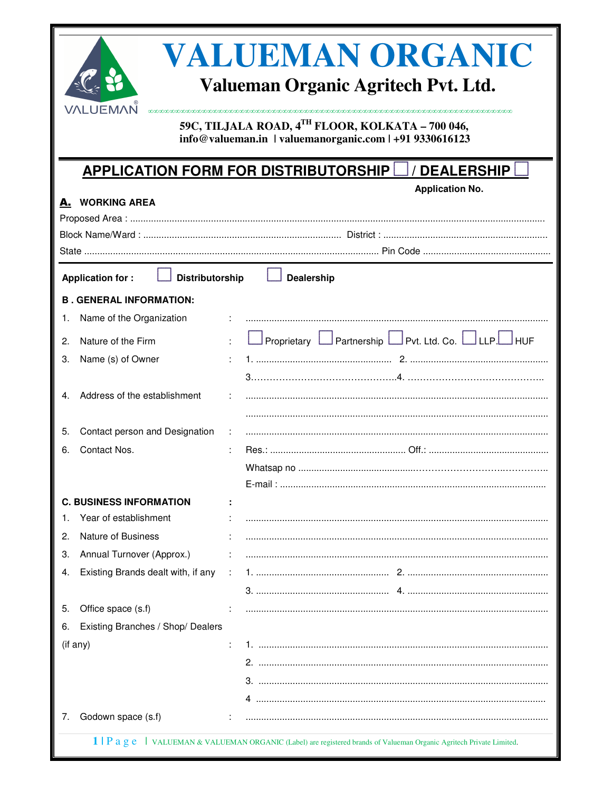| VALUEMAN ORGANIC<br>Valueman Organic Agritech Pvt. Ltd.<br>VALUEMAÑ<br>59C, TILJALA ROAD, 4TH FLOOR, KOLKATA - 700 046,<br>info@valueman.in   valuemanorganic.com   +91 9330616123 |                                                                                                                       |  |  |
|------------------------------------------------------------------------------------------------------------------------------------------------------------------------------------|-----------------------------------------------------------------------------------------------------------------------|--|--|
|                                                                                                                                                                                    | <b>APPLICATION FORM FOR DISTRIBUTORSHIP</b><br><b>DEALERSHIP</b>                                                      |  |  |
| <b>A.</b> WORKING AREA                                                                                                                                                             | <b>Application No.</b>                                                                                                |  |  |
|                                                                                                                                                                                    |                                                                                                                       |  |  |
|                                                                                                                                                                                    |                                                                                                                       |  |  |
|                                                                                                                                                                                    |                                                                                                                       |  |  |
| <b>Distributorship</b><br><b>Application for:</b>                                                                                                                                  | <b>Dealership</b>                                                                                                     |  |  |
| <b>B. GENERAL INFORMATION:</b>                                                                                                                                                     |                                                                                                                       |  |  |
| Name of the Organization<br>1.                                                                                                                                                     |                                                                                                                       |  |  |
| Nature of the Firm<br>2.                                                                                                                                                           | Proprietary LPartnership LPvt. Ltd. Co. LULLP. HUF                                                                    |  |  |
| Name (s) of Owner<br>3.                                                                                                                                                            |                                                                                                                       |  |  |
|                                                                                                                                                                                    |                                                                                                                       |  |  |
| Address of the establishment                                                                                                                                                       |                                                                                                                       |  |  |
|                                                                                                                                                                                    |                                                                                                                       |  |  |
| Contact person and Designation<br>5.                                                                                                                                               |                                                                                                                       |  |  |
| Contact Nos.<br>6.                                                                                                                                                                 |                                                                                                                       |  |  |
|                                                                                                                                                                                    |                                                                                                                       |  |  |
|                                                                                                                                                                                    |                                                                                                                       |  |  |
| <b>C. BUSINESS INFORMATION</b>                                                                                                                                                     |                                                                                                                       |  |  |
| Year of establishment                                                                                                                                                              |                                                                                                                       |  |  |
| <b>Nature of Business</b><br>2.                                                                                                                                                    |                                                                                                                       |  |  |
| Annual Turnover (Approx.)<br>З.                                                                                                                                                    |                                                                                                                       |  |  |
| Existing Brands dealt with, if any<br>4.                                                                                                                                           | ÷                                                                                                                     |  |  |
|                                                                                                                                                                                    |                                                                                                                       |  |  |
| Office space (s.f)<br>5.                                                                                                                                                           |                                                                                                                       |  |  |
| Existing Branches / Shop/ Dealers<br>6.                                                                                                                                            |                                                                                                                       |  |  |
| (if any)                                                                                                                                                                           |                                                                                                                       |  |  |
|                                                                                                                                                                                    |                                                                                                                       |  |  |
|                                                                                                                                                                                    |                                                                                                                       |  |  |
|                                                                                                                                                                                    |                                                                                                                       |  |  |
| Godown space (s.f)<br>7.                                                                                                                                                           |                                                                                                                       |  |  |
|                                                                                                                                                                                    | 1   P a g e   VALUEMAN & VALUEMAN ORGANIC (Label) are registered brands of Valueman Organic Agritech Private Limited. |  |  |